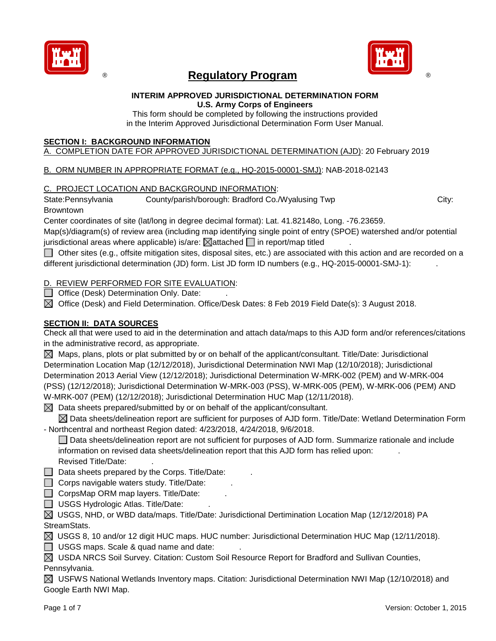

## **Regulatory Program and Community Program**



#### **INTERIM APPROVED JURISDICTIONAL DETERMINATION FORM U.S. Army Corps of Engineers**

This form should be completed by following the instructions provided in the Interim Approved Jurisdictional Determination Form User Manual.

## **SECTION I: BACKGROUND INFORMATION**

## A. COMPLETION DATE FOR APPROVED JURISDICTIONAL DETERMINATION (AJD): 20 February 2019

## B. ORM NUMBER IN APPROPRIATE FORMAT (e.g., HQ-2015-00001-SMJ): NAB-2018-02143

## C. PROJECT LOCATION AND BACKGROUND INFORMATION:

State:Pennsylvania County/parish/borough: Bradford Co./Wyalusing Twp City: City:

## Browntown

Center coordinates of site (lat/long in degree decimal format): Lat. 41.82148o, Long. -76.23659.

Map(s)/diagram(s) of review area (including map identifying single point of entry (SPOE) watershed and/or potential jurisdictional areas where applicable) is/are:  $\boxtimes$  attached  $\Box$  in report/map titled

Other sites (e.g., offsite mitigation sites, disposal sites, etc.) are associated with this action and are recorded on a different jurisdictional determination (JD) form. List JD form ID numbers (e.g., HQ-2015-00001-SMJ-1):

## D. REVIEW PERFORMED FOR SITE EVALUATION:

- $\Box$  Office (Desk) Determination Only. Date:
- $\boxtimes$  Office (Desk) and Field Determination. Office/Desk Dates: 8 Feb 2019 Field Date(s): 3 August 2018.

## **SECTION II: DATA SOURCES**

Check all that were used to aid in the determination and attach data/maps to this AJD form and/or references/citations in the administrative record, as appropriate.

 $\boxtimes$  Maps, plans, plots or plat submitted by or on behalf of the applicant/consultant. Title/Date: Jurisdictional Determination Location Map (12/12/2018), Jurisdictional Determination NWI Map (12/10/2018); Jurisdictional Determination 2013 Aerial View (12/12/2018); Jurisdictional Determination W-MRK-002 (PEM) and W-MRK-004 (PSS) (12/12/2018); Jurisdictional Determination W-MRK-003 (PSS), W-MRK-005 (PEM), W-MRK-006 (PEM) AND W-MRK-007 (PEM) (12/12/2018); Jurisdictional Determination HUC Map (12/11/2018).

 $\boxtimes$  Data sheets prepared/submitted by or on behalf of the applicant/consultant.

 $\boxtimes$  Data sheets/delineation report are sufficient for purposes of AJD form. Title/Date: Wetland Determination Form - Northcentral and northeast Region dated: 4/23/2018, 4/24/2018, 9/6/2018.

Data sheets/delineation report are not sufficient for purposes of AJD form. Summarize rationale and include information on revised data sheets/delineation report that this AJD form has relied upon: . Revised Title/Date: .

 $\Box$  Data sheets prepared by the Corps. Title/Date:

 $\Box$  Corps navigable waters study. Title/Date:

 $\Box$  CorpsMap ORM map layers. Title/Date:

 $\Box$  USGS Hydrologic Atlas. Title/Date:

 $\boxtimes$  USGS, NHD, or WBD data/maps. Title/Date: Jurisdictional Dertimination Location Map (12/12/2018) PA StreamStats.

 $\boxtimes$  USGS 8, 10 and/or 12 digit HUC maps. HUC number: Jurisdictional Determination HUC Map (12/11/2018).

 $\Box$  USGS maps. Scale & quad name and date:

 $\boxtimes$  USDA NRCS Soil Survey. Citation: Custom Soil Resource Report for Bradford and Sullivan Counties,

Pennsylvania.

 $\boxtimes$  USFWS National Wetlands Inventory maps. Citation: Jurisdictional Determination NWI Map (12/10/2018) and Google Earth NWI Map.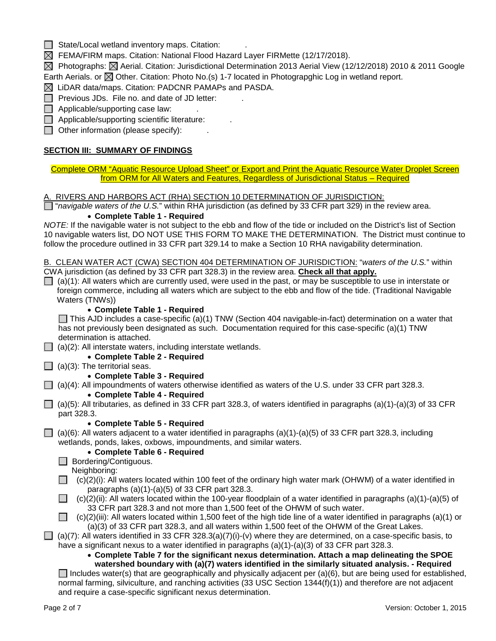| State/Local wetland inventory maps. Citation: |  |
|-----------------------------------------------|--|
|-----------------------------------------------|--|

 $\boxtimes$  FEMA/FIRM maps. Citation: National Flood Hazard Layer FIRMette (12/17/2018).

 $\boxtimes$  Photographs:  $\boxtimes$  Aerial. Citation: Jurisdictional Determination 2013 Aerial View (12/12/2018) 2010 & 2011 Google Earth Aerials. or  $\boxtimes$  Other. Citation: Photo No.(s) 1-7 located in Photograpghic Log in wetland report.

 $\boxtimes$  LiDAR data/maps. Citation: PADCNR PAMAPs and PASDA.

 $\Box$  Previous JDs. File no. and date of JD letter:

 $\Box$  Applicable/supporting case law:

 $\Box$  Applicable/supporting scientific literature:

 $\Box$  Other information (please specify):

#### **SECTION III: SUMMARY OF FINDINGS**

Complete ORM "Aquatic Resource Upload Sheet" or Export and Print the Aquatic Resource Water Droplet Screen from ORM for All Waters and Features, Regardless of Jurisdictional Status – Required

A. RIVERS AND HARBORS ACT (RHA) SECTION 10 DETERMINATION OF JURISDICTION:

"*navigable waters of the U.S.*" within RHA jurisdiction (as defined by 33 CFR part 329) in the review area.

#### • **Complete Table 1 - Required**

*NOTE:* If the navigable water is not subject to the ebb and flow of the tide or included on the District's list of Section 10 navigable waters list, DO NOT USE THIS FORM TO MAKE THE DETERMINATION. The District must continue to follow the procedure outlined in 33 CFR part 329.14 to make a Section 10 RHA navigability determination.

B. CLEAN WATER ACT (CWA) SECTION 404 DETERMINATION OF JURISDICTION: "*waters of the U.S.*" within CWA jurisdiction (as defined by 33 CFR part 328.3) in the review area. **Check all that apply.**

 $\Box$  (a)(1): All waters which are currently used, were used in the past, or may be susceptible to use in interstate or foreign commerce, including all waters which are subject to the ebb and flow of the tide. (Traditional Navigable Waters (TNWs))

#### • **Complete Table 1 - Required**

This AJD includes a case-specific (a)(1) TNW (Section 404 navigable-in-fact) determination on a water that has not previously been designated as such. Documentation required for this case-specific (a)(1) TNW determination is attached.

 $\Box$  (a)(2): All interstate waters, including interstate wetlands.

- **Complete Table 2 - Required**
- $\Box$  (a)(3): The territorial seas.

• **Complete Table 3 - Required**

(a)(4): All impoundments of waters otherwise identified as waters of the U.S. under 33 CFR part 328.3.

• **Complete Table 4 - Required**

 $\Box$  (a)(5): All tributaries, as defined in 33 CFR part 328.3, of waters identified in paragraphs (a)(1)-(a)(3) of 33 CFR part 328.3.

#### • **Complete Table 5 - Required**

 $\Box$  (a)(6): All waters adjacent to a water identified in paragraphs (a)(1)-(a)(5) of 33 CFR part 328.3, including wetlands, ponds, lakes, oxbows, impoundments, and similar waters.

#### • **Complete Table 6 - Required**

Bordering/Contiguous. Neighboring:

- $\Box$  (c)(2)(i): All waters located within 100 feet of the ordinary high water mark (OHWM) of a water identified in paragraphs (a)(1)-(a)(5) of 33 CFR part 328.3.
- $\Box$  (c)(2)(ii): All waters located within the 100-year floodplain of a water identified in paragraphs (a)(1)-(a)(5) of 33 CFR part 328.3 and not more than 1,500 feet of the OHWM of such water.

 $\Box$  (c)(2)(iii): All waters located within 1,500 feet of the high tide line of a water identified in paragraphs (a)(1) or (a)(3) of 33 CFR part 328.3, and all waters within 1,500 feet of the OHWM of the Great Lakes.

 $\Box$  (a)(7): All waters identified in 33 CFR 328.3(a)(7)(i)-(v) where they are determined, on a case-specific basis, to

have a significant nexus to a water identified in paragraphs  $(a)(1)-(a)(3)$  of 33 CFR part 328.3.

• **Complete Table 7 for the significant nexus determination. Attach a map delineating the SPOE watershed boundary with (a)(7) waters identified in the similarly situated analysis. - Required**

Includes water(s) that are geographically and physically adjacent per (a)(6), but are being used for established, normal farming, silviculture, and ranching activities (33 USC Section 1344(f)(1)) and therefore are not adjacent and require a case-specific significant nexus determination.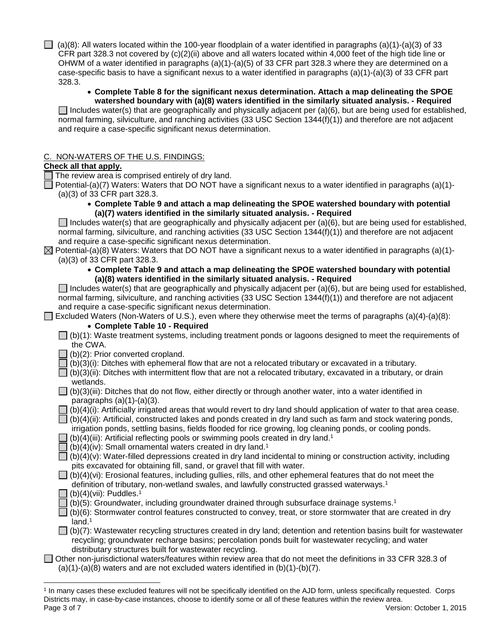(a)(8): All waters located within the 100-year floodplain of a water identified in paragraphs (a)(1)-(a)(3) of 33 CFR part 328.3 not covered by (c)(2)(ii) above and all waters located within 4,000 feet of the high tide line or OHWM of a water identified in paragraphs (a)(1)-(a)(5) of 33 CFR part 328.3 where they are determined on a case-specific basis to have a significant nexus to a water identified in paragraphs (a)(1)-(a)(3) of 33 CFR part 328.3.

## • **Complete Table 8 for the significant nexus determination. Attach a map delineating the SPOE watershed boundary with (a)(8) waters identified in the similarly situated analysis. - Required**

Includes water(s) that are geographically and physically adjacent per (a)(6), but are being used for established, normal farming, silviculture, and ranching activities (33 USC Section 1344(f)(1)) and therefore are not adjacent and require a case-specific significant nexus determination.

## C. NON-WATERS OF THE U.S. FINDINGS:

## **Check all that apply.**

The review area is comprised entirely of dry land.

Potential-(a)(7) Waters: Waters that DO NOT have a significant nexus to a water identified in paragraphs (a)(1)-(a)(3) of 33 CFR part 328.3.

• **Complete Table 9 and attach a map delineating the SPOE watershed boundary with potential (a)(7) waters identified in the similarly situated analysis. - Required**

Includes water(s) that are geographically and physically adjacent per (a)(6), but are being used for established, normal farming, silviculture, and ranching activities (33 USC Section 1344(f)(1)) and therefore are not adjacent and require a case-specific significant nexus determination.

 $\boxtimes$  Potential-(a)(8) Waters: Waters that DO NOT have a significant nexus to a water identified in paragraphs (a)(1)-(a)(3) of 33 CFR part 328.3.

#### • **Complete Table 9 and attach a map delineating the SPOE watershed boundary with potential (a)(8) waters identified in the similarly situated analysis. - Required**

Includes water(s) that are geographically and physically adjacent per (a)(6), but are being used for established, normal farming, silviculture, and ranching activities (33 USC Section 1344(f)(1)) and therefore are not adjacent and require a case-specific significant nexus determination.

Excluded Waters (Non-Waters of U.S.), even where they otherwise meet the terms of paragraphs (a)(4)-(a)(8):

## • **Complete Table 10 - Required**

- $\Box$  (b)(1): Waste treatment systems, including treatment ponds or lagoons designed to meet the requirements of the CWA.
- $\Box$  (b)(2): Prior converted cropland.

 $\lceil$  (b)(3)(i): Ditches with ephemeral flow that are not a relocated tributary or excavated in a tributary.

- $\Box$  (b)(3)(ii): Ditches with intermittent flow that are not a relocated tributary, excavated in a tributary, or drain wetlands.
- $\Box$  (b)(3)(iii): Ditches that do not flow, either directly or through another water, into a water identified in paragraphs  $(a)(1)-(a)(3)$ .
- (b)(4)(i): Artificially irrigated areas that would revert to dry land should application of water to that area cease.
- $\Box$  (b)(4)(ii): Artificial, constructed lakes and ponds created in dry land such as farm and stock watering ponds,
- irrigation ponds, settling basins, fields flooded for rice growing, log cleaning ponds, or cooling ponds.
- $\overline{1}$  (b)(4)(iii): Artificial reflecting pools or swimming pools created in dry land.<sup>1</sup>
- (b)(4)(iv): Small ornamental waters created in dry land. 1
- $\Box$  (b)(4)(v): Water-filled depressions created in dry land incidental to mining or construction activity, including pits excavated for obtaining fill, sand, or gravel that fill with water.
- $\Box$  (b)(4)(vi): Erosional features, including gullies, rills, and other ephemeral features that do not meet the
	- definition of tributary, non-wetland swales, and lawfully constructed grassed waterways.1
	- $\Box$  (b)(4)(vii): Puddles.<sup>1</sup>

 $\overline{a}$ 

- $\Box$  (b)(5): Groundwater, including groundwater drained through subsurface drainage systems.<sup>1</sup>
- $\Box$  (b)(6): Stormwater control features constructed to convey, treat, or store stormwater that are created in dry land.<sup>1</sup>
- $\Box$  (b)(7): Wastewater recycling structures created in dry land; detention and retention basins built for wastewater recycling; groundwater recharge basins; percolation ponds built for wastewater recycling; and water distributary structures built for wastewater recycling.
- Other non-jurisdictional waters/features within review area that do not meet the definitions in 33 CFR 328.3 of  $(a)(1)-(a)(8)$  waters and are not excluded waters identified in  $(b)(1)-(b)(7)$ .

Page 3 of 7 Version: October 1, 2015 <sup>1</sup> In many cases these excluded features will not be specifically identified on the AJD form, unless specifically requested. Corps Districts may, in case-by-case instances, choose to identify some or all of these features within the review area.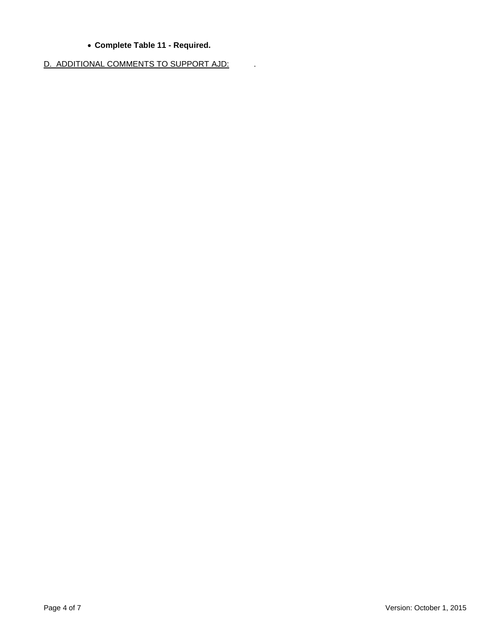## • **Complete Table 11 - Required.**

D. ADDITIONAL COMMENTS TO SUPPORT AJD: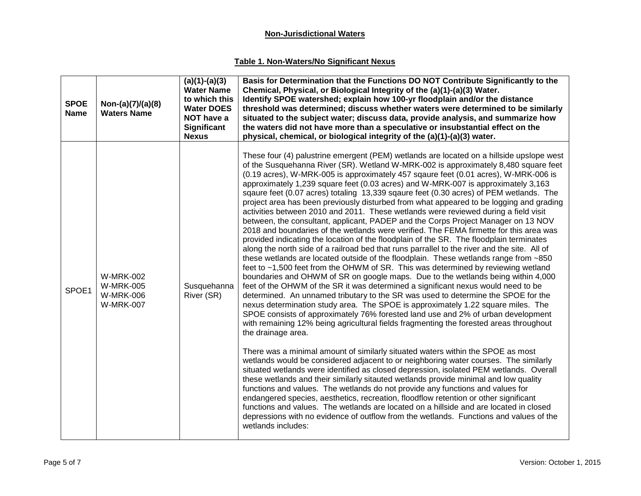## **Non-Jurisdictional Waters**

## **Table 1. Non-Waters/No Significant Nexus**

| <b>SPOE</b><br><b>Name</b> | Non-(a)(7)/(a)(8)<br><b>Waters Name</b>                                      | $(a)(1)-(a)(3)$<br><b>Water Name</b><br>to which this<br><b>Water DOES</b><br>NOT have a<br><b>Significant</b><br><b>Nexus</b> | Basis for Determination that the Functions DO NOT Contribute Significantly to the<br>Chemical, Physical, or Biological Integrity of the (a)(1)-(a)(3) Water.<br>Identify SPOE watershed; explain how 100-yr floodplain and/or the distance<br>threshold was determined; discuss whether waters were determined to be similarly<br>situated to the subject water; discuss data, provide analysis, and summarize how<br>the waters did not have more than a speculative or insubstantial effect on the<br>physical, chemical, or biological integrity of the (a)(1)-(a)(3) water.                                                                                                                                                                                                                                                                                                                                                                                                                                                                                                                                                                                                                                                                                                                                                                                                                                                                                                                                                                                                                                                                                                                                                                                                                                                                                                                                                                                                                                                                                                                                                                                                                                                                                                                                                                                                                                                                                                                             |
|----------------------------|------------------------------------------------------------------------------|--------------------------------------------------------------------------------------------------------------------------------|-------------------------------------------------------------------------------------------------------------------------------------------------------------------------------------------------------------------------------------------------------------------------------------------------------------------------------------------------------------------------------------------------------------------------------------------------------------------------------------------------------------------------------------------------------------------------------------------------------------------------------------------------------------------------------------------------------------------------------------------------------------------------------------------------------------------------------------------------------------------------------------------------------------------------------------------------------------------------------------------------------------------------------------------------------------------------------------------------------------------------------------------------------------------------------------------------------------------------------------------------------------------------------------------------------------------------------------------------------------------------------------------------------------------------------------------------------------------------------------------------------------------------------------------------------------------------------------------------------------------------------------------------------------------------------------------------------------------------------------------------------------------------------------------------------------------------------------------------------------------------------------------------------------------------------------------------------------------------------------------------------------------------------------------------------------------------------------------------------------------------------------------------------------------------------------------------------------------------------------------------------------------------------------------------------------------------------------------------------------------------------------------------------------------------------------------------------------------------------------------------------------|
| SPOE1                      | <b>W-MRK-002</b><br><b>W-MRK-005</b><br><b>W-MRK-006</b><br><b>W-MRK-007</b> | Susquehanna<br>River (SR)                                                                                                      | These four (4) palustrine emergent (PEM) wetlands are located on a hillside upslope west<br>of the Susquehanna River (SR). Wetland W-MRK-002 is approximately 8,480 square feet<br>(0.19 acres), W-MRK-005 is approximately 457 sqaure feet (0.01 acres), W-MRK-006 is<br>approximately 1,239 square feet (0.03 acres) and W-MRK-007 is approximately 3,163<br>sqaure feet (0.07 acres) totaling 13,339 sqaure feet (0.30 acres) of PEM wetlands. The<br>project area has been previously disturbed from what appeared to be logging and grading<br>activities between 2010 and 2011. These wetlands were reviewed during a field visit<br>between, the consultant, applicant, PADEP and the Corps Project Manager on 13 NOV<br>2018 and boundaries of the wetlands were verified. The FEMA firmette for this area was<br>provided indicating the location of the floodplain of the SR. The floodplain terminates<br>along the north side of a railroad bed that runs parrallel to the river and the site. All of<br>these wetlands are located outside of the floodplain. These wetlands range from ~850<br>feet to $\sim$ 1,500 feet from the OHWM of SR. This was determined by reviewing wetland<br>boundaries and OHWM of SR on google maps. Due to the wetlands being within 4,000<br>feet of the OHWM of the SR it was determined a significant nexus would need to be<br>determined. An unnamed tributary to the SR was used to determine the SPOE for the<br>nexus determination study area. The SPOE is approximately 1.22 square miles. The<br>SPOE consists of approximately 76% forested land use and 2% of urban development<br>with remaining 12% being agricultural fields fragmenting the forested areas throughout<br>the drainage area.<br>There was a minimal amount of similarly situated waters within the SPOE as most<br>wetlands would be considered adjacent to or neighboring water courses. The similarly<br>situated wetlands were identified as closed depression, isolated PEM wetlands. Overall<br>these wetlands and their similarly sitauted wetlands provide minimal and low quality<br>functions and values. The wetlands do not provide any functions and values for<br>endangered species, aesthetics, recreation, floodflow retention or other significant<br>functions and values. The wetlands are located on a hillside and are located in closed<br>depressions with no evidence of outflow from the wetlands. Functions and values of the<br>wetlands includes: |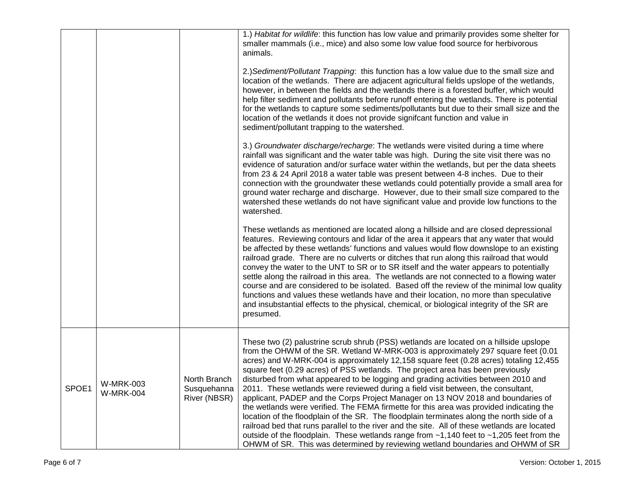|       |                                      |                                             | 1.) Habitat for wildlife: this function has low value and primarily provides some shelter for<br>smaller mammals (i.e., mice) and also some low value food source for herbivorous<br>animals.                                                                                                                                                                                                                                                                                                                                                                                                                                                                                                                                                                                                                                                                                                                                                                                                                                                                                                |
|-------|--------------------------------------|---------------------------------------------|----------------------------------------------------------------------------------------------------------------------------------------------------------------------------------------------------------------------------------------------------------------------------------------------------------------------------------------------------------------------------------------------------------------------------------------------------------------------------------------------------------------------------------------------------------------------------------------------------------------------------------------------------------------------------------------------------------------------------------------------------------------------------------------------------------------------------------------------------------------------------------------------------------------------------------------------------------------------------------------------------------------------------------------------------------------------------------------------|
|       |                                      |                                             | 2.) Sediment/Pollutant Trapping: this function has a low value due to the small size and<br>location of the wetlands. There are adjacent agricultural fields upslope of the wetlands,<br>however, in between the fields and the wetlands there is a forested buffer, which would<br>help filter sediment and pollutants before runoff entering the wetlands. There is potential<br>for the wetlands to capture some sediments/pollutants but due to their small size and the<br>location of the wetlands it does not provide signifcant function and value in<br>sediment/pollutant trapping to the watershed.                                                                                                                                                                                                                                                                                                                                                                                                                                                                               |
|       |                                      |                                             | 3.) Groundwater discharge/recharge: The wetlands were visited during a time where<br>rainfall was significant and the water table was high. During the site visit there was no<br>evidence of saturation and/or surface water within the wetlands, but per the data sheets<br>from 23 & 24 April 2018 a water table was present between 4-8 inches. Due to their<br>connection with the groundwater these wetlands could potentially provide a small area for<br>ground water recharge and discharge. However, due to their small size compared to the<br>watershed these wetlands do not have significant value and provide low functions to the<br>watershed.                                                                                                                                                                                                                                                                                                                                                                                                                              |
|       |                                      |                                             | These wetlands as mentioned are located along a hillside and are closed depressional<br>features. Reviewing contours and lidar of the area it appears that any water that would<br>be affected by these wetlands' functions and values would flow downslope to an existing<br>railroad grade. There are no culverts or ditches that run along this railroad that would<br>convey the water to the UNT to SR or to SR itself and the water appears to potentially<br>settle along the railroad in this area. The wetlands are not connected to a flowing water<br>course and are considered to be isolated. Based off the review of the minimal low quality<br>functions and values these wetlands have and their location, no more than speculative<br>and insubstantial effects to the physical, chemical, or biological integrity of the SR are<br>presumed.                                                                                                                                                                                                                               |
| SPOE1 | <b>W-MRK-003</b><br><b>W-MRK-004</b> | North Branch<br>Susquehanna<br>River (NBSR) | These two (2) palustrine scrub shrub (PSS) wetlands are located on a hillside upslope<br>from the OHWM of the SR. Wetland W-MRK-003 is approximately 297 square feet (0.01<br>acres) and W-MRK-004 is approximately 12,158 square feet (0.28 acres) totaling 12,455<br>square feet (0.29 acres) of PSS wetlands. The project area has been previously<br>disturbed from what appeared to be logging and grading activities between 2010 and<br>2011. These wetlands were reviewed during a field visit between, the consultant,<br>applicant, PADEP and the Corps Project Manager on 13 NOV 2018 and boundaries of<br>the wetlands were verified. The FEMA firmette for this area was provided indicating the<br>location of the floodplain of the SR. The floodplain terminates along the north side of a<br>railroad bed that runs parallel to the river and the site. All of these wetlands are located<br>outside of the floodplain. These wetlands range from $-1,140$ feet to $-1,205$ feet from the<br>OHWM of SR. This was determined by reviewing wetland boundaries and OHWM of SR |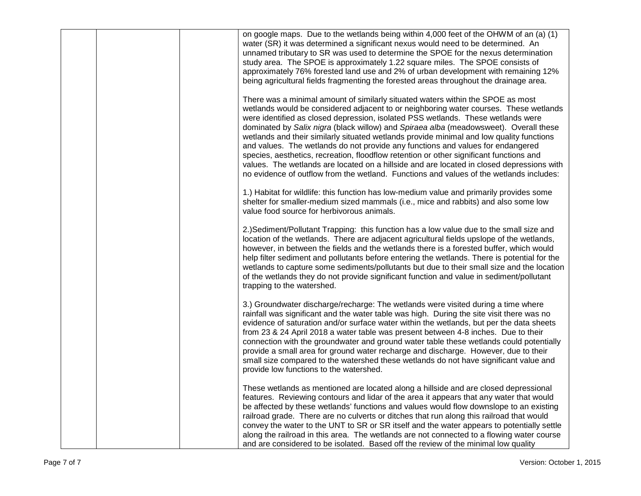|  | on google maps. Due to the wetlands being within 4,000 feet of the OHWM of an (a) (1)<br>water (SR) it was determined a significant nexus would need to be determined. An<br>unnamed tributary to SR was used to determine the SPOE for the nexus determination<br>study area. The SPOE is approximately 1.22 square miles. The SPOE consists of<br>approximately 76% forested land use and 2% of urban development with remaining 12%<br>being agricultural fields fragmenting the forested areas throughout the drainage area.                                                                                                                                                                                                                                                                                        |
|--|-------------------------------------------------------------------------------------------------------------------------------------------------------------------------------------------------------------------------------------------------------------------------------------------------------------------------------------------------------------------------------------------------------------------------------------------------------------------------------------------------------------------------------------------------------------------------------------------------------------------------------------------------------------------------------------------------------------------------------------------------------------------------------------------------------------------------|
|  | There was a minimal amount of similarly situated waters within the SPOE as most<br>wetlands would be considered adjacent to or neighboring water courses. These wetlands<br>were identified as closed depression, isolated PSS wetlands. These wetlands were<br>dominated by Salix nigra (black willow) and Spiraea alba (meadowsweet). Overall these<br>wetlands and their similarly situated wetlands provide minimal and low quality functions<br>and values. The wetlands do not provide any functions and values for endangered<br>species, aesthetics, recreation, floodflow retention or other significant functions and<br>values. The wetlands are located on a hillside and are located in closed depressions with<br>no evidence of outflow from the wetland. Functions and values of the wetlands includes: |
|  | 1.) Habitat for wildlife: this function has low-medium value and primarily provides some<br>shelter for smaller-medium sized mammals (i.e., mice and rabbits) and also some low<br>value food source for herbivorous animals.                                                                                                                                                                                                                                                                                                                                                                                                                                                                                                                                                                                           |
|  | 2.) Sediment/Pollutant Trapping: this function has a low value due to the small size and<br>location of the wetlands. There are adjacent agricultural fields upslope of the wetlands,<br>however, in between the fields and the wetlands there is a forested buffer, which would<br>help filter sediment and pollutants before entering the wetlands. There is potential for the<br>wetlands to capture some sediments/pollutants but due to their small size and the location<br>of the wetlands they do not provide significant function and value in sediment/pollutant<br>trapping to the watershed.                                                                                                                                                                                                                |
|  | 3.) Groundwater discharge/recharge: The wetlands were visited during a time where<br>rainfall was significant and the water table was high. During the site visit there was no<br>evidence of saturation and/or surface water within the wetlands, but per the data sheets<br>from 23 & 24 April 2018 a water table was present between 4-8 inches. Due to their<br>connection with the groundwater and ground water table these wetlands could potentially<br>provide a small area for ground water recharge and discharge. However, due to their<br>small size compared to the watershed these wetlands do not have significant value and<br>provide low functions to the watershed.                                                                                                                                  |
|  | These wetlands as mentioned are located along a hillside and are closed depressional<br>features. Reviewing contours and lidar of the area it appears that any water that would<br>be affected by these wetlands' functions and values would flow downslope to an existing<br>railroad grade. There are no culverts or ditches that run along this railroad that would<br>convey the water to the UNT to SR or SR itself and the water appears to potentially settle<br>along the railroad in this area. The wetlands are not connected to a flowing water course<br>and are considered to be isolated. Based off the review of the minimal low quality                                                                                                                                                                 |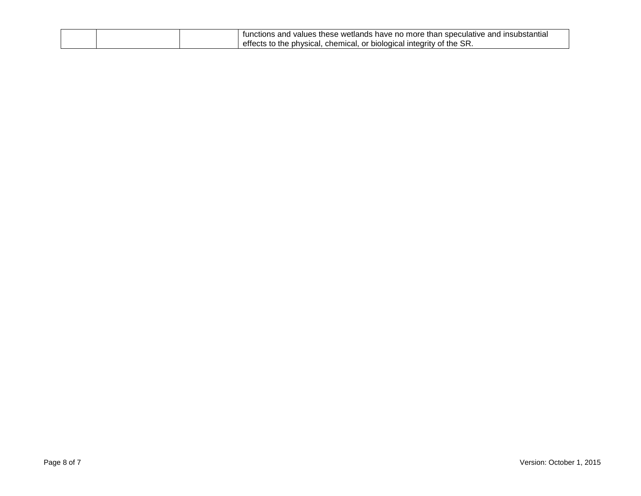|  | ר lnsubstantia.<br>wetlands<br>and<br>ı speculatıve<br>and<br>anction∘ f<br>have no more<br>∴these<br>: than<br>values |
|--|------------------------------------------------------------------------------------------------------------------------|
|  | SR.<br>the<br>chemical<br>the<br>: physical.<br>effects<br>or<br>∵biological integrity i<br>വ<br>w                     |